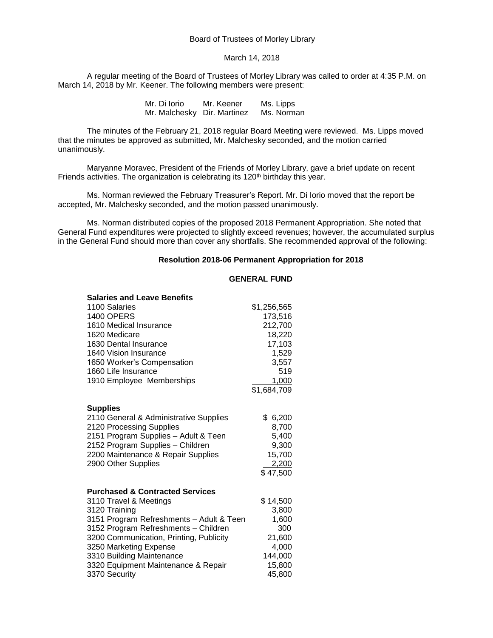# Board of Trustees of Morley Library

#### March 14, 2018

A regular meeting of the Board of Trustees of Morley Library was called to order at 4:35 P.M. on March 14, 2018 by Mr. Keener. The following members were present:

> Mr. Di Iorio Mr. Keener Ms. Lipps Mr. Malchesky Dir. Martinez Ms. Norman

The minutes of the February 21, 2018 regular Board Meeting were reviewed. Ms. Lipps moved that the minutes be approved as submitted, Mr. Malchesky seconded, and the motion carried unanimously.

Maryanne Moravec, President of the Friends of Morley Library, gave a brief update on recent Friends activities. The organization is celebrating its 120<sup>th</sup> birthday this year.

Ms. Norman reviewed the February Treasurer's Report. Mr. Di Iorio moved that the report be accepted, Mr. Malchesky seconded, and the motion passed unanimously.

Ms. Norman distributed copies of the proposed 2018 Permanent Appropriation. She noted that General Fund expenditures were projected to slightly exceed revenues; however, the accumulated surplus in the General Fund should more than cover any shortfalls. She recommended approval of the following:

#### **Resolution 2018-06 Permanent Appropriation for 2018**

## **GENERAL FUND**

| <b>Salaries and Leave Benefits</b>                                     |                |
|------------------------------------------------------------------------|----------------|
| 1100 Salaries                                                          | \$1,256,565    |
| <b>1400 OPERS</b>                                                      | 173,516        |
| 1610 Medical Insurance                                                 | 212,700        |
| 1620 Medicare                                                          | 18,220         |
| 1630 Dental Insurance                                                  | 17,103         |
| 1640 Vision Insurance                                                  | 1,529          |
| 1650 Worker's Compensation                                             | 3,557          |
| 1660 Life Insurance                                                    | 519            |
| 1910 Employee Memberships                                              | 1,000          |
|                                                                        | \$1,684,709    |
|                                                                        |                |
| <b>Supplies</b>                                                        |                |
| 2110 General & Administrative Supplies                                 | \$6,200        |
| 2120 Processing Supplies                                               | 8,700          |
| 2151 Program Supplies - Adult & Teen                                   | 5,400<br>9,300 |
| 2152 Program Supplies - Children<br>2200 Maintenance & Repair Supplies | 15,700         |
| 2900 Other Supplies                                                    | 2,200          |
|                                                                        | \$47,500       |
|                                                                        |                |
| <b>Purchased &amp; Contracted Services</b>                             |                |
| 3110 Travel & Meetings                                                 | \$14,500       |
| 3120 Training                                                          | 3,800          |
| 3151 Program Refreshments - Adult & Teen                               | 1,600          |
| 3152 Program Refreshments - Children                                   | 300            |
| 3200 Communication, Printing, Publicity                                | 21,600         |
| 3250 Marketing Expense                                                 | 4,000          |
| 3310 Building Maintenance                                              | 144,000        |
| 3320 Equipment Maintenance & Repair                                    | 15,800         |
| 3370 Security                                                          | 45,800         |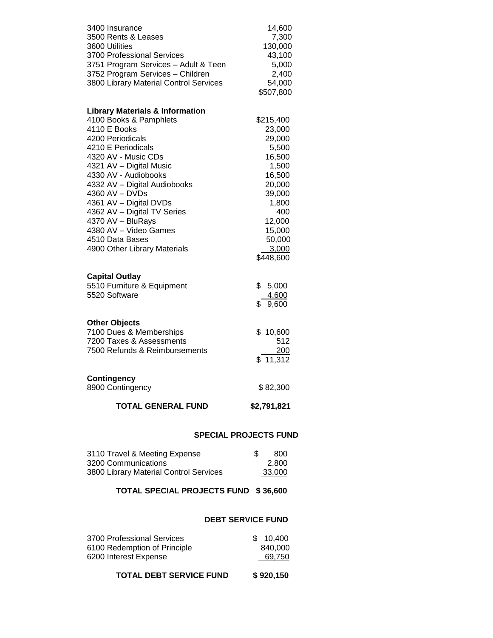| 3400 Insurance                             | 14,600                       |
|--------------------------------------------|------------------------------|
| 3500 Rents & Leases                        | 7,300                        |
| 3600 Utilities                             | 130,000                      |
| 3700 Professional Services                 | 43,100                       |
| 3751 Program Services - Adult & Teen       | 5,000                        |
| 3752 Program Services - Children           | 2,400                        |
| 3800 Library Material Control Services     | 54,000                       |
|                                            | \$507,800                    |
| <b>Library Materials &amp; Information</b> |                              |
| 4100 Books & Pamphlets                     | \$215,400                    |
| 4110 E Books                               | 23,000                       |
| 4200 Periodicals                           | 29,000                       |
| 4210 E Periodicals                         | 5,500                        |
| 4320 AV - Music CDs                        | 16,500                       |
| 4321 AV - Digital Music                    | 1,500                        |
| 4330 AV - Audiobooks                       | 16,500                       |
| 4332 AV - Digital Audiobooks               | 20,000                       |
| 4360 AV - DVDs                             | 39,000                       |
| 4361 AV - Digital DVDs                     | 1,800                        |
| 4362 AV - Digital TV Series                | 400                          |
| 4370 AV - BluRays                          | 12,000                       |
| 4380 AV - Video Games                      | 15,000                       |
| 4510 Data Bases                            | 50,000                       |
| 4900 Other Library Materials               | 3,000                        |
|                                            | \$448,600                    |
| <b>Capital Outlay</b>                      |                              |
| 5510 Furniture & Equipment                 | \$<br>5,000                  |
| 5520 Software                              | 4,600                        |
|                                            | \$<br>9,600                  |
|                                            |                              |
| <b>Other Objects</b>                       |                              |
| 7100 Dues & Memberships                    | \$10,600                     |
| 7200 Taxes & Assessments                   | 512                          |
| 7500 Refunds & Reimbursements              | 200                          |
|                                            | 11,312<br>\$                 |
| <b>Contingency</b>                         |                              |
| 8900 Contingency                           | \$82,300                     |
|                                            |                              |
| <b>TOTAL GENERAL FUND</b>                  | \$2,791,821                  |
|                                            | <b>SPECIAL PROJECTS FUND</b> |
|                                            |                              |
| 3110 Travel & Meeting Expense              | \$<br>800                    |

# 3800 Library Material Control Services 33,000 **TOTAL SPECIAL PROJECTS FUND \$ 36,600**

3200 Communications 2,800

# **DEBT SERVICE FUND**

| 3700 Professional Services   | \$10.400 |
|------------------------------|----------|
| 6100 Redemption of Principle | 840,000  |
| 6200 Interest Expense        | 69.750   |
|                              |          |

# **TOTAL DEBT SERVICE FUND \$ 920,150**